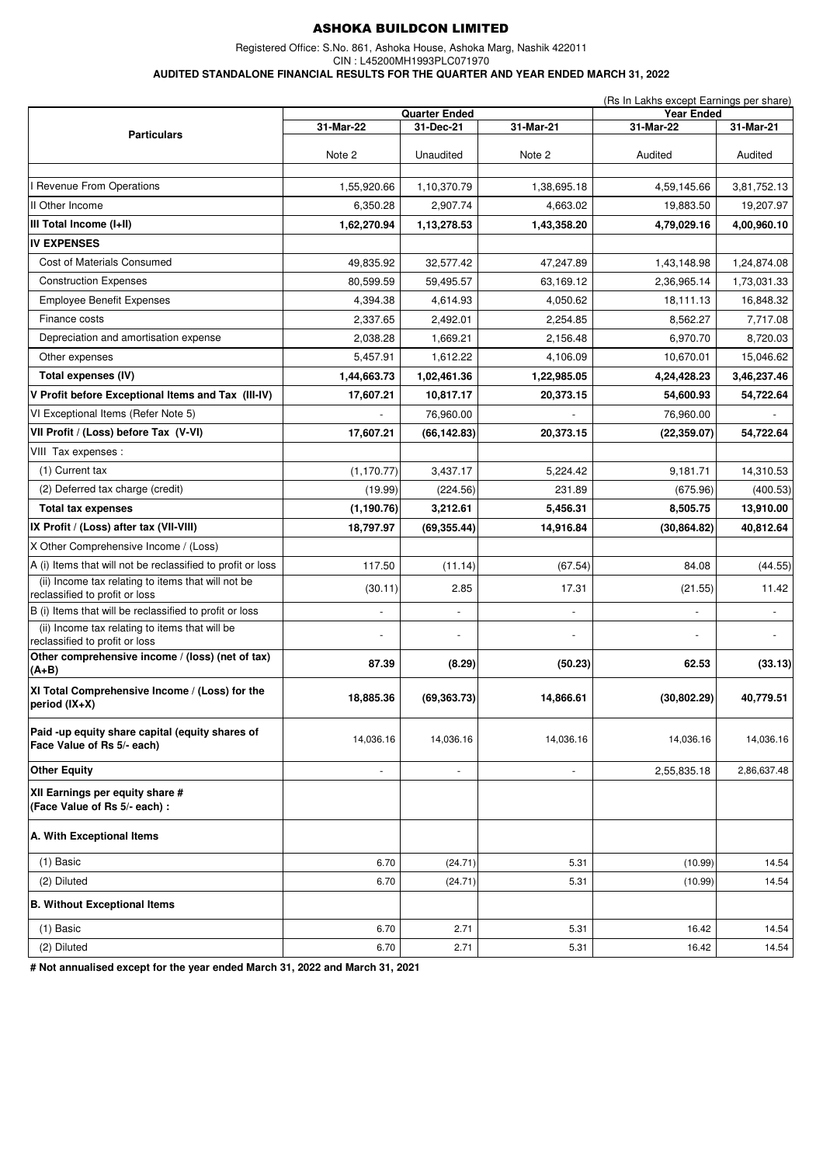Registered Office: S.No. 861, Ashoka House, Ashoka Marg, Nashik 422011

CIN : L45200MH1993PLC071970

**AUDITED STANDALONE FINANCIAL RESULTS FOR THE QUARTER AND YEAR ENDED MARCH 31, 2022**

|                                                                                      |                                                             |                          |                          | (Rs In Lakhs except Earnings per share)     |                          |
|--------------------------------------------------------------------------------------|-------------------------------------------------------------|--------------------------|--------------------------|---------------------------------------------|--------------------------|
|                                                                                      | <b>Quarter Ended</b><br>31-Mar-22<br>31-Dec-21<br>31-Mar-21 |                          |                          | <b>Year Ended</b><br>31-Mar-22<br>31-Mar-21 |                          |
| <b>Particulars</b>                                                                   |                                                             |                          |                          |                                             |                          |
|                                                                                      | Note 2                                                      | Unaudited                | Note 2                   | Audited                                     | Audited                  |
| <b>Revenue From Operations</b>                                                       | 1,55,920.66                                                 | 1,10,370.79              | 1,38,695.18              | 4,59,145.66                                 | 3,81,752.13              |
| II Other Income                                                                      | 6,350.28                                                    | 2,907.74                 | 4,663.02                 | 19,883.50                                   | 19,207.97                |
| III Total Income (I+II)                                                              | 1,62,270.94                                                 | 1,13,278.53              | 1,43,358.20              | 4,79,029.16                                 | 4,00,960.10              |
| <b>IV EXPENSES</b>                                                                   |                                                             |                          |                          |                                             |                          |
| Cost of Materials Consumed                                                           | 49,835.92                                                   | 32,577.42                | 47,247.89                | 1,43,148.98                                 | 1,24,874.08              |
| <b>Construction Expenses</b>                                                         | 80,599.59                                                   | 59,495.57                | 63,169.12                | 2,36,965.14                                 | 1,73,031.33              |
| <b>Employee Benefit Expenses</b>                                                     | 4,394.38                                                    | 4,614.93                 | 4,050.62                 | 18,111.13                                   | 16,848.32                |
| Finance costs                                                                        | 2,337.65                                                    | 2,492.01                 | 2,254.85                 | 8,562.27                                    | 7,717.08                 |
| Depreciation and amortisation expense                                                | 2,038.28                                                    | 1,669.21                 | 2,156.48                 | 6,970.70                                    | 8,720.03                 |
| Other expenses                                                                       | 5,457.91                                                    | 1,612.22                 | 4,106.09                 | 10,670.01                                   | 15,046.62                |
| Total expenses (IV)                                                                  | 1,44,663.73                                                 | 1,02,461.36              | 1,22,985.05              | 4,24,428.23                                 | 3,46,237.46              |
| V Profit before Exceptional Items and Tax (III-IV)                                   | 17,607.21                                                   | 10,817.17                | 20,373.15                | 54,600.93                                   | 54,722.64                |
| VI Exceptional Items (Refer Note 5)                                                  |                                                             | 76,960.00                |                          | 76,960.00                                   |                          |
| VII Profit / (Loss) before Tax (V-VI)                                                | 17,607.21                                                   | (66, 142.83)             | 20,373.15                | (22, 359.07)                                | 54,722.64                |
| VIII Tax expenses :                                                                  |                                                             |                          |                          |                                             |                          |
| (1) Current tax                                                                      | (1, 170.77)                                                 | 3,437.17                 | 5,224.42                 | 9,181.71                                    | 14,310.53                |
| (2) Deferred tax charge (credit)                                                     | (19.99)                                                     | (224.56)                 | 231.89                   | (675.96)                                    | (400.53)                 |
| <b>Total tax expenses</b>                                                            | (1, 190.76)                                                 | 3,212.61                 | 5,456.31                 | 8,505.75                                    | 13,910.00                |
| IX Profit / (Loss) after tax (VII-VIII)                                              | 18,797.97                                                   | (69, 355.44)             | 14,916.84                | (30, 864.82)                                | 40,812.64                |
| X Other Comprehensive Income / (Loss)                                                |                                                             |                          |                          |                                             |                          |
| A (i) Items that will not be reclassified to profit or loss                          | 117.50                                                      | (11.14)                  | (67.54)                  | 84.08                                       | (44.55)                  |
| (ii) Income tax relating to items that will not be<br>reclassified to profit or loss | (30.11)                                                     | 2.85                     | 17.31                    | (21.55)                                     | 11.42                    |
| B (i) Items that will be reclassified to profit or loss                              | $\overline{a}$                                              | $\overline{\phantom{a}}$ | $\overline{\phantom{a}}$ | $\frac{1}{2}$                               | $\overline{\phantom{a}}$ |
| (ii) Income tax relating to items that will be<br>reclassified to profit or loss     |                                                             |                          |                          |                                             |                          |
| Other comprehensive income / (loss) (net of tax)<br>$(A+B)$                          | 87.39                                                       | (8.29)                   | (50.23)                  | 62.53                                       | (33.13)                  |
| XI Total Comprehensive Income / (Loss) for the<br>period (IX+X)                      | 18,885.36                                                   | (69, 363.73)             | 14,866.61                | (30, 802.29)                                | 40,779.51                |
| Paid-up equity share capital (equity shares of<br>Face Value of Rs 5/- each)         | 14,036.16                                                   | 14,036.16                | 14,036.16                | 14.036.16                                   | 14,036.16                |
| <b>Other Equity</b>                                                                  | $\overline{a}$                                              | $\overline{\phantom{a}}$ | $\overline{\phantom{a}}$ | 2,55,835.18                                 | 2,86,637.48              |
| XII Earnings per equity share #<br>(Face Value of Rs 5/- each) :                     |                                                             |                          |                          |                                             |                          |
| A. With Exceptional Items                                                            |                                                             |                          |                          |                                             |                          |
| $(1)$ Basic                                                                          | 6.70                                                        | (24.71)                  | 5.31                     | (10.99)                                     | 14.54                    |
| (2) Diluted                                                                          | 6.70                                                        | (24.71)                  | 5.31                     | (10.99)                                     | 14.54                    |
| <b>B. Without Exceptional Items</b>                                                  |                                                             |                          |                          |                                             |                          |
| $(1)$ Basic                                                                          | 6.70                                                        | 2.71                     | 5.31                     | 16.42                                       | 14.54                    |
| (2) Diluted                                                                          | 6.70                                                        | 2.71                     | 5.31                     | 16.42                                       | 14.54                    |

**# Not annualised except for the year ended March 31, 2022 and March 31, 2021**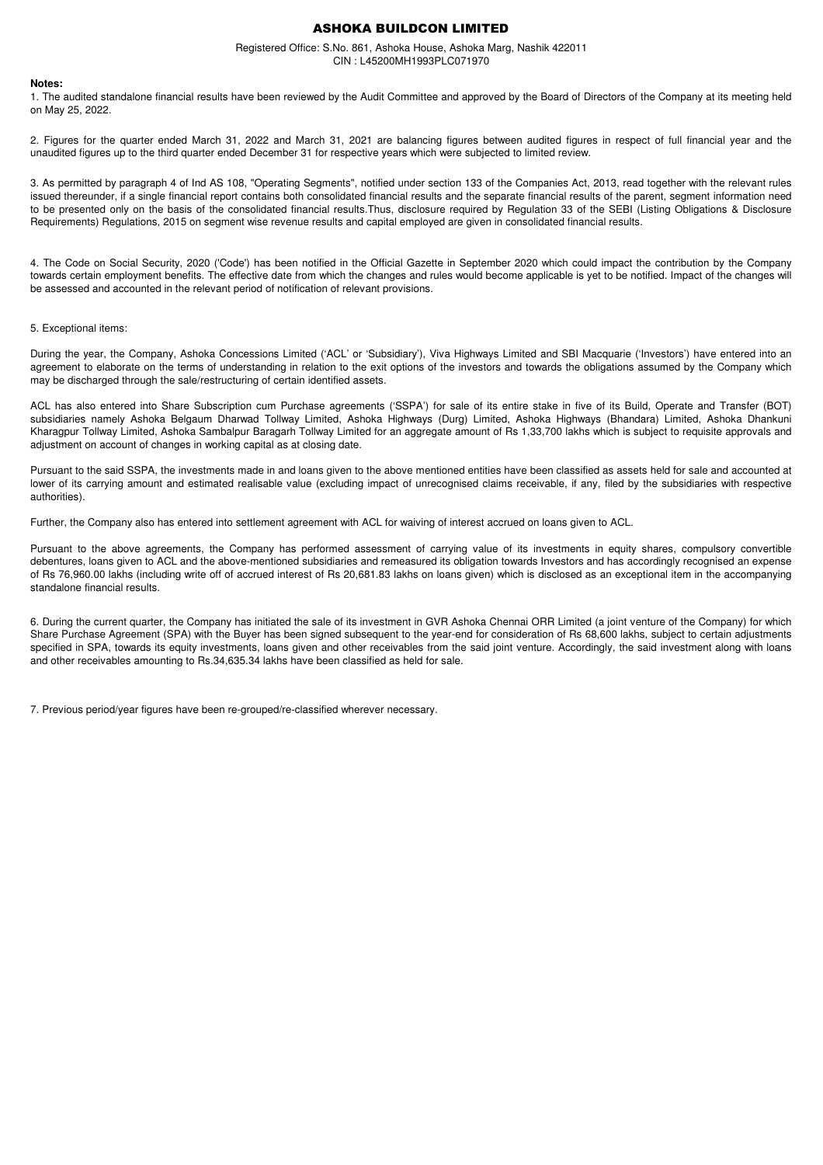Registered Office: S.No. 861, Ashoka House, Ashoka Marg, Nashik 422011 CIN : L45200MH1993PLC071970

#### **Notes:**

1. The audited standalone financial results have been reviewed by the Audit Committee and approved by the Board of Directors of the Company at its meeting held on May 25, 2022.

2. Figures for the quarter ended March 31, 2022 and March 31, 2021 are balancing figures between audited figures in respect of full financial year and the unaudited figures up to the third quarter ended December 31 for respective years which were subjected to limited review.

3. As permitted by paragraph 4 of Ind AS 108, "Operating Segments", notified under section 133 of the Companies Act, 2013, read together with the relevant rules issued thereunder, if a single financial report contains both consolidated financial results and the separate financial results of the parent, segment information need to be presented only on the basis of the consolidated financial results.Thus, disclosure required by Regulation 33 of the SEBI (Listing Obligations & Disclosure Requirements) Requiations, 2015 on segment wise revenue results and capital employed are given in consolidated financial results.

4. The Code on Social Security, 2020 ('Code') has been notified in the Official Gazette in September 2020 which could impact the contribution by the Company towards certain employment benefits. The effective date from which the changes and rules would become applicable is yet to be notified. Impact of the changes will be assessed and accounted in the relevant period of notification of relevant provisions.

#### 5. Exceptional items:

During the year, the Company, Ashoka Concessions Limited ('ACL' or 'Subsidiary'), Viva Highways Limited and SBI Macquarie ('Investors') have entered into an agreement to elaborate on the terms of understanding in relation to the exit options of the investors and towards the obligations assumed by the Company which may be discharged through the sale/restructuring of certain identified assets.

ACL has also entered into Share Subscription cum Purchase agreements ('SSPA') for sale of its entire stake in five of its Build, Operate and Transfer (BOT) subsidiaries namely Ashoka Belgaum Dharwad Tollway Limited, Ashoka Highways (Durg) Limited, Ashoka Highways (Bhandara) Limited, Ashoka Dhankuni Kharagpur Tollway Limited, Ashoka Sambalpur Baragarh Tollway Limited for an aggregate amount of Rs 1,33,700 lakhs which is subject to requisite approvals and adjustment on account of changes in working capital as at closing date.

Pursuant to the said SSPA, the investments made in and loans given to the above mentioned entities have been classified as assets held for sale and accounted at lower of its carrying amount and estimated realisable value (excluding impact of unrecognised claims receivable, if any, filed by the subsidiaries with respective authorities).

Further, the Company also has entered into settlement agreement with ACL for waiving of interest accrued on loans given to ACL.

Pursuant to the above agreements, the Company has performed assessment of carrying value of its investments in equity shares, compulsory convertible debentures, loans given to ACL and the above-mentioned subsidiaries and remeasured its obligation towards Investors and has accordingly recognised an expense of Rs 76,960.00 lakhs (including write off of accrued interest of Rs 20,681.83 lakhs on loans given) which is disclosed as an exceptional item in the accompanying standalone financial results.

6. During the current quarter, the Company has initiated the sale of its investment in GVR Ashoka Chennai ORR Limited (a joint venture of the Company) for which Share Purchase Agreement (SPA) with the Buyer has been signed subsequent to the year-end for consideration of Rs 68,600 lakhs, subject to certain adjustments specified in SPA, towards its equity investments, loans given and other receivables from the said joint venture. Accordingly, the said investment along with loans and other receivables amounting to Rs.34,635.34 lakhs have been classified as held for sale.

7. Previous period/year figures have been re-grouped/re-classified wherever necessary.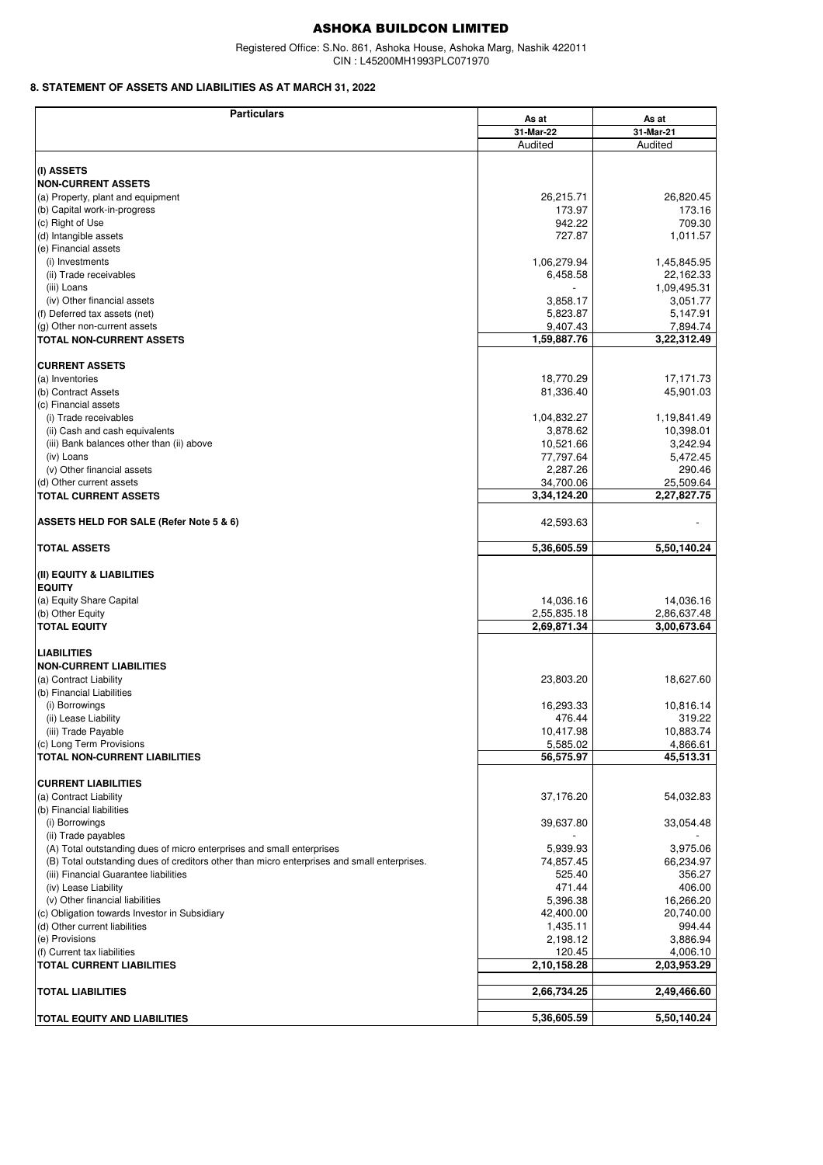Registered Office: S.No. 861, Ashoka House, Ashoka Marg, Nashik 422011 CIN : L45200MH1993PLC071970

## **8. STATEMENT OF ASSETS AND LIABILITIES AS AT MARCH 31, 2022**

| <b>Particulars</b>                                                                          |             |             |
|---------------------------------------------------------------------------------------------|-------------|-------------|
|                                                                                             | As at       | As at       |
|                                                                                             | 31-Mar-22   | 31-Mar-21   |
|                                                                                             | Audited     | Audited     |
|                                                                                             |             |             |
| (I) ASSETS                                                                                  |             |             |
| <b>NON-CURRENT ASSETS</b>                                                                   |             |             |
| (a) Property, plant and equipment                                                           | 26,215.71   | 26,820.45   |
| (b) Capital work-in-progress                                                                | 173.97      | 173.16      |
| (c) Right of Use                                                                            | 942.22      | 709.30      |
| (d) Intangible assets                                                                       | 727.87      | 1,011.57    |
| (e) Financial assets                                                                        |             |             |
| (i) Investments                                                                             | 1,06,279.94 | 1,45,845.95 |
| (ii) Trade receivables                                                                      | 6,458.58    | 22,162.33   |
| (iii) Loans                                                                                 |             |             |
|                                                                                             |             | 1,09,495.31 |
| (iv) Other financial assets                                                                 | 3,858.17    | 3,051.77    |
| (f) Deferred tax assets (net)                                                               | 5,823.87    | 5,147.91    |
| (g) Other non-current assets                                                                | 9,407.43    | 7,894.74    |
| <b>TOTAL NON-CURRENT ASSETS</b>                                                             | 1,59,887.76 | 3,22,312.49 |
|                                                                                             |             |             |
| <b>CURRENT ASSETS</b>                                                                       |             |             |
| (a) Inventories                                                                             | 18,770.29   | 17,171.73   |
| (b) Contract Assets                                                                         | 81,336.40   | 45,901.03   |
| (c) Financial assets                                                                        |             |             |
| (i) Trade receivables                                                                       | 1,04,832.27 | 1,19,841.49 |
|                                                                                             |             |             |
| (ii) Cash and cash equivalents                                                              | 3,878.62    | 10,398.01   |
| (iii) Bank balances other than (ii) above                                                   | 10,521.66   | 3,242.94    |
| (iv) Loans                                                                                  | 77,797.64   | 5,472.45    |
| (v) Other financial assets                                                                  | 2,287.26    | 290.46      |
| (d) Other current assets                                                                    | 34,700.06   | 25,509.64   |
| <b>TOTAL CURRENT ASSETS</b>                                                                 | 3,34,124.20 | 2,27,827.75 |
|                                                                                             |             |             |
| ASSETS HELD FOR SALE (Refer Note 5 & 6)                                                     | 42,593.63   |             |
| <b>TOTAL ASSETS</b>                                                                         | 5,36,605.59 | 5,50,140.24 |
|                                                                                             |             |             |
|                                                                                             |             |             |
| (II) EQUITY & LIABILITIES                                                                   |             |             |
| <b>EQUITY</b>                                                                               |             |             |
| (a) Equity Share Capital                                                                    | 14,036.16   | 14,036.16   |
| (b) Other Equity                                                                            | 2,55,835.18 | 2,86,637.48 |
| <b>TOTAL EQUITY</b>                                                                         | 2,69,871.34 | 3,00,673.64 |
|                                                                                             |             |             |
| <b>LIABILITIES</b>                                                                          |             |             |
| <b>NON-CURRENT LIABILITIES</b>                                                              |             |             |
| (a) Contract Liability                                                                      | 23,803.20   | 18,627.60   |
| (b) Financial Liabilities                                                                   |             |             |
|                                                                                             |             |             |
| (i) Borrowings                                                                              | 16,293.33   | 10,816.14   |
| (ii) Lease Liability                                                                        | 476.44      | 319.22      |
| (iii) Trade Payable                                                                         | 10,417.98   | 10,883.74   |
| (c) Long Term Provisions                                                                    | 5,585.02    | 4,866.61    |
| <b>TOTAL NON-CURRENT LIABILITIES</b>                                                        | 56,575.97   | 45,513.31   |
|                                                                                             |             |             |
| <b>CURRENT LIABILITIES</b>                                                                  |             |             |
| (a) Contract Liability                                                                      | 37,176.20   | 54,032.83   |
| (b) Financial liabilities                                                                   |             |             |
| (i) Borrowings                                                                              | 39,637.80   | 33,054.48   |
|                                                                                             |             |             |
| (ii) Trade payables                                                                         |             |             |
| (A) Total outstanding dues of micro enterprises and small enterprises                       | 5,939.93    | 3,975.06    |
| (B) Total outstanding dues of creditors other than micro enterprises and small enterprises. | 74,857.45   | 66,234.97   |
| (iii) Financial Guarantee liabilities                                                       | 525.40      | 356.27      |
| (iv) Lease Liability                                                                        | 471.44      | 406.00      |
| (v) Other financial liabilities                                                             | 5,396.38    | 16,266.20   |
| (c) Obligation towards Investor in Subsidiary                                               | 42,400.00   | 20,740.00   |
| (d) Other current liabilities                                                               | 1,435.11    | 994.44      |
| (e) Provisions                                                                              | 2,198.12    | 3,886.94    |
| (f) Current tax liabilities                                                                 | 120.45      | 4,006.10    |
|                                                                                             |             |             |
| <b>TOTAL CURRENT LIABILITIES</b>                                                            | 2,10,158.28 | 2,03,953.29 |
|                                                                                             |             |             |
| <b>TOTAL LIABILITIES</b>                                                                    | 2,66,734.25 | 2,49,466.60 |
|                                                                                             |             |             |
| TOTAL EQUITY AND LIABILITIES                                                                | 5,36,605.59 | 5,50,140.24 |